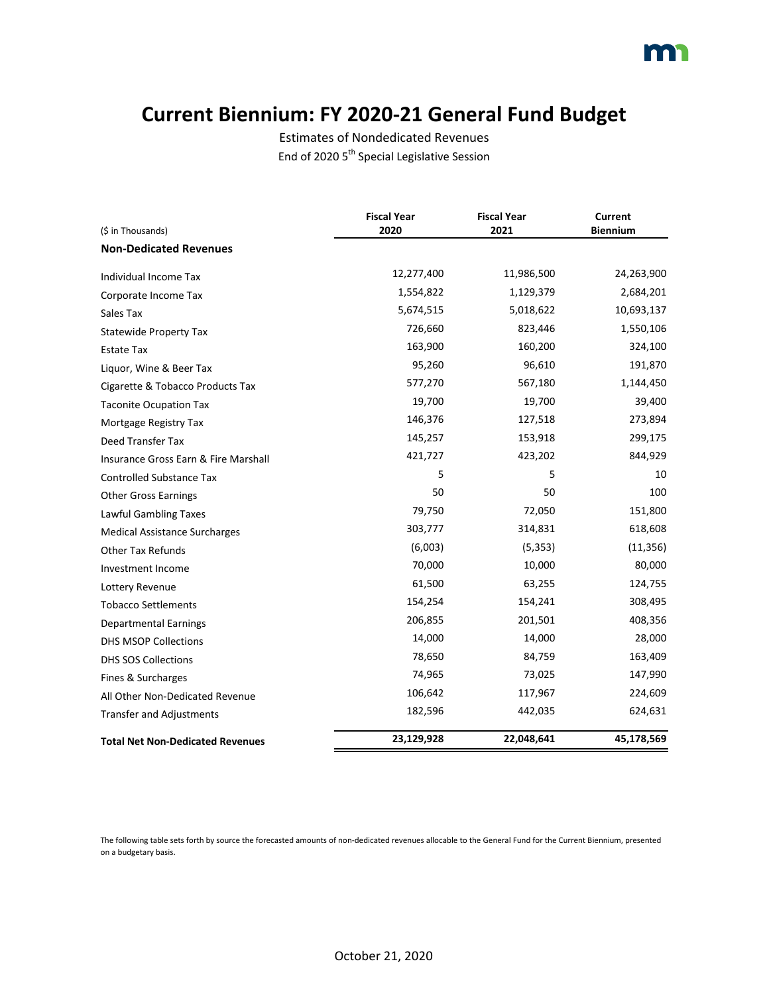### **Current Biennium: FY 2020-21 General Fund Budget**

Estimates of Nondedicated Revenues End of 2020 5<sup>th</sup> Special Legislative Session

| (\$ in Thousands)                       | <b>Fiscal Year</b><br>2020 | <b>Fiscal Year</b><br>2021 | <b>Current</b><br><b>Biennium</b> |
|-----------------------------------------|----------------------------|----------------------------|-----------------------------------|
| <b>Non-Dedicated Revenues</b>           |                            |                            |                                   |
| Individual Income Tax                   | 12,277,400                 | 11,986,500                 | 24,263,900                        |
| Corporate Income Tax                    | 1,554,822                  | 1,129,379                  | 2,684,201                         |
| Sales Tax                               | 5,674,515                  | 5,018,622                  | 10,693,137                        |
| <b>Statewide Property Tax</b>           | 726,660                    | 823,446                    | 1,550,106                         |
| Estate Tax                              | 163,900                    | 160,200                    | 324,100                           |
| Liquor, Wine & Beer Tax                 | 95,260                     | 96,610                     | 191,870                           |
| Cigarette & Tobacco Products Tax        | 577,270                    | 567,180                    | 1,144,450                         |
| <b>Taconite Ocupation Tax</b>           | 19,700                     | 19,700                     | 39,400                            |
| Mortgage Registry Tax                   | 146,376                    | 127,518                    | 273,894                           |
| Deed Transfer Tax                       | 145,257                    | 153,918                    | 299,175                           |
| Insurance Gross Earn & Fire Marshall    | 421,727                    | 423,202                    | 844,929                           |
| <b>Controlled Substance Tax</b>         | 5                          | 5                          | 10                                |
| <b>Other Gross Earnings</b>             | 50                         | 50                         | 100                               |
| Lawful Gambling Taxes                   | 79,750                     | 72,050                     | 151,800                           |
| <b>Medical Assistance Surcharges</b>    | 303,777                    | 314,831                    | 618,608                           |
| <b>Other Tax Refunds</b>                | (6,003)                    | (5, 353)                   | (11, 356)                         |
| Investment Income                       | 70,000                     | 10,000                     | 80,000                            |
| Lottery Revenue                         | 61,500                     | 63,255                     | 124,755                           |
| <b>Tobacco Settlements</b>              | 154,254                    | 154,241                    | 308,495                           |
| <b>Departmental Earnings</b>            | 206,855                    | 201,501                    | 408,356                           |
| <b>DHS MSOP Collections</b>             | 14,000                     | 14,000                     | 28,000                            |
| <b>DHS SOS Collections</b>              | 78,650                     | 84,759                     | 163,409                           |
| Fines & Surcharges                      | 74,965                     | 73,025                     | 147,990                           |
| All Other Non-Dedicated Revenue         | 106,642                    | 117,967                    | 224,609                           |
| <b>Transfer and Adjustments</b>         | 182,596                    | 442,035                    | 624,631                           |
| <b>Total Net Non-Dedicated Revenues</b> | 23,129,928                 | 22,048,641                 | 45,178,569                        |

The following table sets forth by source the forecasted amounts of non-dedicated revenues allocable to the General Fund for the Current Biennium, presented on a budgetary basis.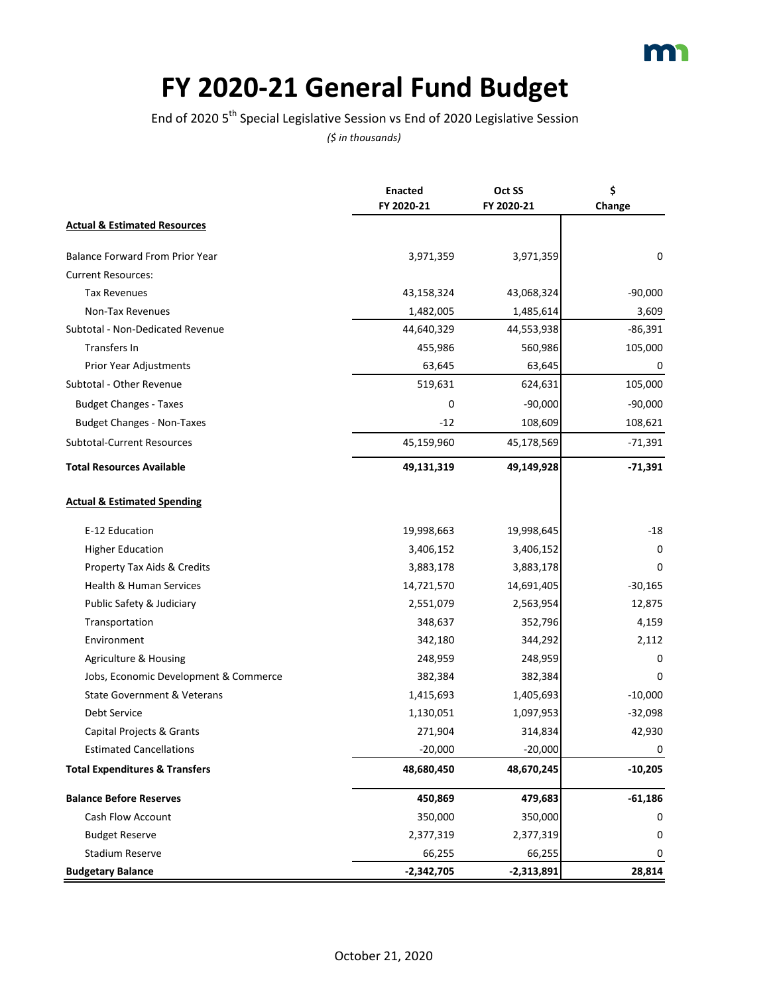

# **FY 2020-21 General Fund Budget**

End of 2020 5th Special Legislative Session vs End of 2020 Legislative Session

|                                           | <b>Enacted</b> | Oct SS       | \$        |
|-------------------------------------------|----------------|--------------|-----------|
|                                           | FY 2020-21     | FY 2020-21   | Change    |
| <b>Actual &amp; Estimated Resources</b>   |                |              |           |
| <b>Balance Forward From Prior Year</b>    | 3,971,359      | 3,971,359    | 0         |
| <b>Current Resources:</b>                 |                |              |           |
| <b>Tax Revenues</b>                       | 43,158,324     | 43,068,324   | $-90,000$ |
| Non-Tax Revenues                          | 1,482,005      | 1,485,614    | 3,609     |
| Subtotal - Non-Dedicated Revenue          | 44,640,329     | 44,553,938   | $-86,391$ |
| Transfers In                              | 455,986        | 560,986      | 105,000   |
| Prior Year Adjustments                    | 63,645         | 63,645       | 0         |
| Subtotal - Other Revenue                  | 519,631        | 624,631      | 105,000   |
| <b>Budget Changes - Taxes</b>             | 0              | $-90,000$    | $-90,000$ |
| <b>Budget Changes - Non-Taxes</b>         | $-12$          | 108,609      | 108,621   |
| Subtotal-Current Resources                | 45,159,960     | 45,178,569   | $-71,391$ |
| <b>Total Resources Available</b>          | 49,131,319     | 49,149,928   | $-71,391$ |
| <b>Actual &amp; Estimated Spending</b>    |                |              |           |
| E-12 Education                            | 19,998,663     | 19,998,645   | -18       |
| <b>Higher Education</b>                   | 3,406,152      | 3,406,152    | 0         |
| Property Tax Aids & Credits               | 3,883,178      | 3,883,178    | 0         |
| Health & Human Services                   | 14,721,570     | 14,691,405   | $-30,165$ |
| Public Safety & Judiciary                 | 2,551,079      | 2,563,954    | 12,875    |
| Transportation                            | 348,637        | 352,796      | 4,159     |
| Environment                               | 342,180        | 344,292      | 2,112     |
| Agriculture & Housing                     | 248,959        | 248,959      | 0         |
| Jobs, Economic Development & Commerce     | 382,384        | 382,384      | 0         |
| <b>State Government &amp; Veterans</b>    | 1,415,693      | 1,405,693    | $-10,000$ |
| Debt Service                              | 1,130,051      | 1,097,953    | $-32,098$ |
| Capital Projects & Grants                 | 271,904        | 314,834      | 42,930    |
| <b>Estimated Cancellations</b>            | $-20,000$      | $-20,000$    | 0         |
| <b>Total Expenditures &amp; Transfers</b> | 48,680,450     | 48,670,245   | $-10,205$ |
| <b>Balance Before Reserves</b>            | 450,869        | 479,683      | $-61,186$ |
| Cash Flow Account                         | 350,000        | 350,000      | 0         |
| <b>Budget Reserve</b>                     | 2,377,319      | 2,377,319    | 0         |
| <b>Stadium Reserve</b>                    | 66,255         | 66,255       | 0         |
| <b>Budgetary Balance</b>                  | $-2,342,705$   | $-2,313,891$ | 28,814    |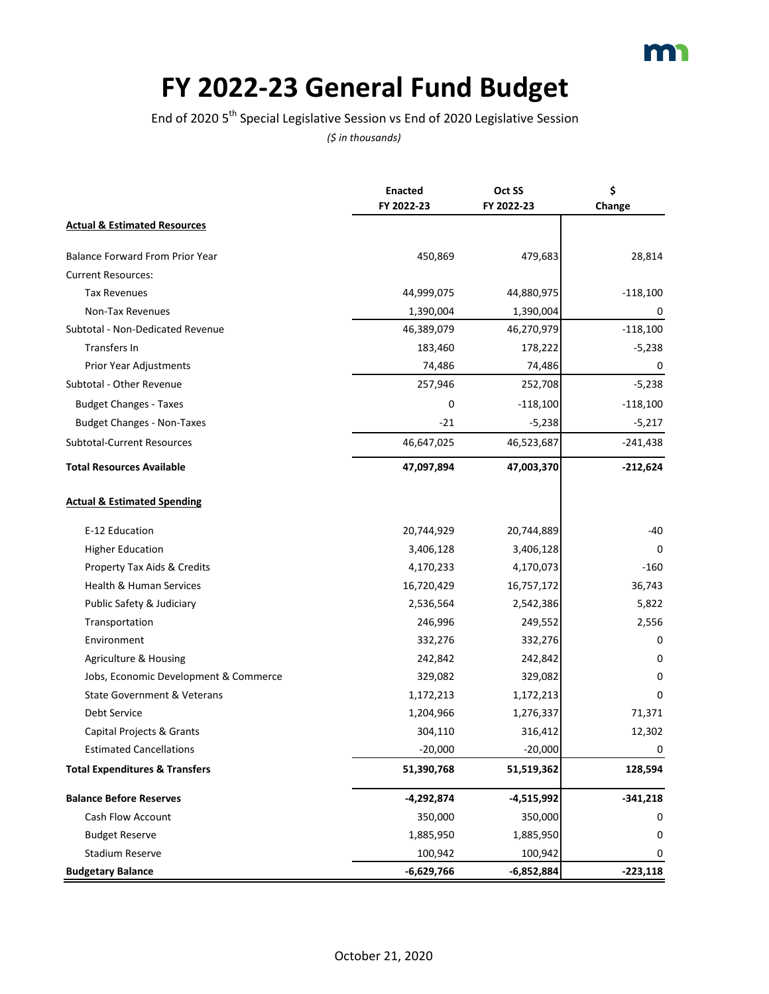

# **FY 2022-23 General Fund Budget**

End of 2020 5th Special Legislative Session vs End of 2020 Legislative Session

|                                           | <b>Enacted</b> | Oct SS     | \$         |
|-------------------------------------------|----------------|------------|------------|
|                                           | FY 2022-23     | FY 2022-23 | Change     |
| <b>Actual &amp; Estimated Resources</b>   |                |            |            |
| <b>Balance Forward From Prior Year</b>    | 450,869        | 479,683    | 28,814     |
| <b>Current Resources:</b>                 |                |            |            |
| <b>Tax Revenues</b>                       | 44,999,075     | 44,880,975 | $-118,100$ |
| Non-Tax Revenues                          | 1,390,004      | 1,390,004  | 0          |
| Subtotal - Non-Dedicated Revenue          | 46,389,079     | 46,270,979 | $-118,100$ |
| <b>Transfers In</b>                       | 183,460        | 178,222    | $-5,238$   |
| Prior Year Adjustments                    | 74,486         | 74,486     | 0          |
| Subtotal - Other Revenue                  | 257,946        | 252,708    | $-5,238$   |
| <b>Budget Changes - Taxes</b>             | 0              | $-118,100$ | $-118,100$ |
| <b>Budget Changes - Non-Taxes</b>         | $-21$          | $-5,238$   | $-5,217$   |
| <b>Subtotal-Current Resources</b>         | 46,647,025     | 46,523,687 | $-241,438$ |
| <b>Total Resources Available</b>          | 47,097,894     | 47,003,370 | $-212,624$ |
| <b>Actual &amp; Estimated Spending</b>    |                |            |            |
| E-12 Education                            | 20,744,929     | 20,744,889 | -40        |
| <b>Higher Education</b>                   | 3,406,128      | 3,406,128  | 0          |
| Property Tax Aids & Credits               | 4,170,233      | 4,170,073  | $-160$     |
| Health & Human Services                   | 16,720,429     | 16,757,172 | 36,743     |
| Public Safety & Judiciary                 | 2,536,564      | 2,542,386  | 5,822      |
| Transportation                            | 246,996        | 249,552    | 2,556      |
| Environment                               | 332,276        | 332,276    | 0          |
| Agriculture & Housing                     | 242,842        | 242,842    | 0          |
| Jobs, Economic Development & Commerce     | 329,082        | 329,082    | 0          |
| <b>State Government &amp; Veterans</b>    | 1,172,213      | 1,172,213  | 0          |
| Debt Service                              | 1,204,966      | 1,276,337  | 71,371     |
| Capital Projects & Grants                 | 304,110        | 316,412    | 12,302     |
| <b>Estimated Cancellations</b>            | $-20,000$      | $-20,000$  | 0          |
| <b>Total Expenditures &amp; Transfers</b> | 51,390,768     | 51,519,362 | 128,594    |
| <b>Balance Before Reserves</b>            | -4,292,874     | -4,515,992 | $-341,218$ |
| Cash Flow Account                         | 350,000        | 350,000    | 0          |
| <b>Budget Reserve</b>                     | 1,885,950      | 1,885,950  | 0          |
| Stadium Reserve                           | 100,942        | 100,942    | 0          |
| <b>Budgetary Balance</b>                  | -6,629,766     | -6,852,884 | $-223,118$ |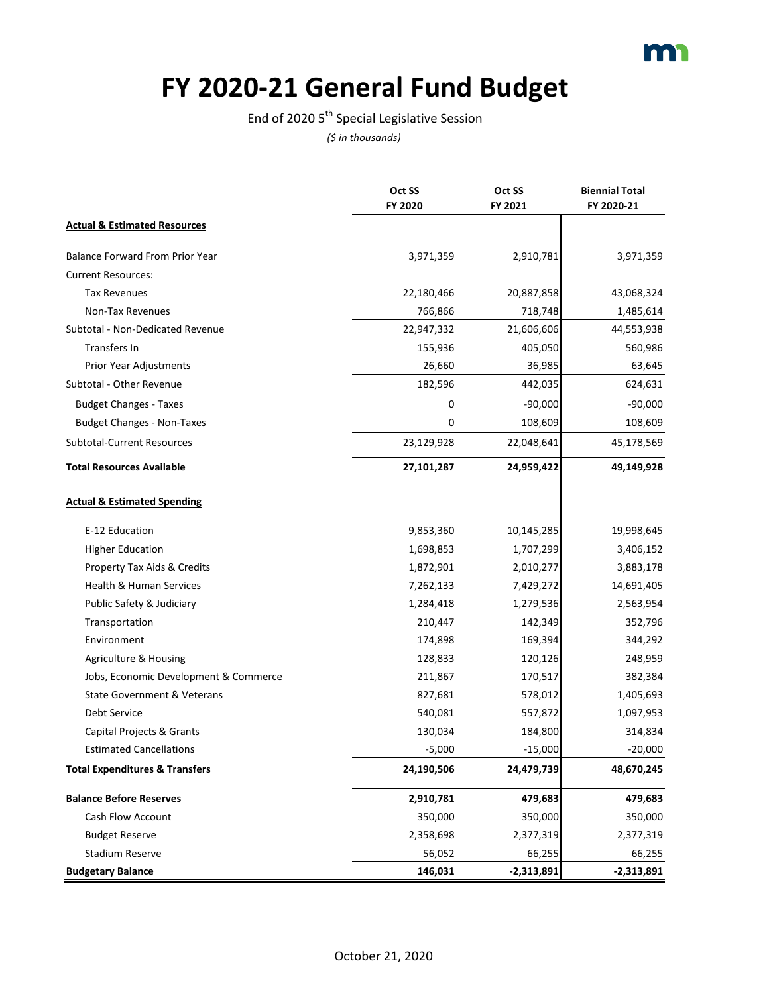

# **FY 2020-21 General Fund Budget**

End of 2020  $5^{\text{th}}$  Special Legislative Session

|                                           | Oct SS     | Oct SS       | <b>Biennial Total</b> |
|-------------------------------------------|------------|--------------|-----------------------|
|                                           | FY 2020    | FY 2021      | FY 2020-21            |
| <b>Actual &amp; Estimated Resources</b>   |            |              |                       |
| <b>Balance Forward From Prior Year</b>    | 3,971,359  | 2,910,781    | 3,971,359             |
| <b>Current Resources:</b>                 |            |              |                       |
| <b>Tax Revenues</b>                       | 22,180,466 | 20,887,858   | 43,068,324            |
| Non-Tax Revenues                          | 766,866    | 718,748      | 1,485,614             |
| Subtotal - Non-Dedicated Revenue          | 22,947,332 | 21,606,606   | 44,553,938            |
| Transfers In                              | 155,936    | 405,050      | 560,986               |
| Prior Year Adjustments                    | 26,660     | 36,985       | 63,645                |
| Subtotal - Other Revenue                  | 182,596    | 442,035      | 624,631               |
| <b>Budget Changes - Taxes</b>             | 0          | $-90,000$    | $-90,000$             |
| <b>Budget Changes - Non-Taxes</b>         | 0          | 108,609      | 108,609               |
| <b>Subtotal-Current Resources</b>         | 23,129,928 | 22,048,641   | 45,178,569            |
| <b>Total Resources Available</b>          | 27,101,287 | 24,959,422   | 49,149,928            |
| <b>Actual &amp; Estimated Spending</b>    |            |              |                       |
| E-12 Education                            | 9,853,360  | 10,145,285   | 19,998,645            |
| <b>Higher Education</b>                   | 1,698,853  | 1,707,299    | 3,406,152             |
| Property Tax Aids & Credits               | 1,872,901  | 2,010,277    | 3,883,178             |
| <b>Health &amp; Human Services</b>        | 7,262,133  | 7,429,272    | 14,691,405            |
| Public Safety & Judiciary                 | 1,284,418  | 1,279,536    | 2,563,954             |
| Transportation                            | 210,447    | 142,349      | 352,796               |
| Environment                               | 174,898    | 169,394      | 344,292               |
| Agriculture & Housing                     | 128,833    | 120,126      | 248,959               |
| Jobs, Economic Development & Commerce     | 211,867    | 170,517      | 382,384               |
| <b>State Government &amp; Veterans</b>    | 827,681    | 578,012      | 1,405,693             |
| Debt Service                              | 540,081    | 557,872      | 1,097,953             |
| Capital Projects & Grants                 | 130,034    | 184,800      | 314,834               |
| <b>Estimated Cancellations</b>            | $-5,000$   | $-15,000$    | $-20,000$             |
| <b>Total Expenditures &amp; Transfers</b> | 24,190,506 | 24,479,739   | 48,670,245            |
| <b>Balance Before Reserves</b>            | 2,910,781  | 479,683      | 479,683               |
| Cash Flow Account                         | 350,000    | 350,000      | 350,000               |
| <b>Budget Reserve</b>                     | 2,358,698  | 2,377,319    | 2,377,319             |
| <b>Stadium Reserve</b>                    | 56,052     | 66,255       | 66,255                |
| <b>Budgetary Balance</b>                  | 146,031    | $-2,313,891$ | $-2,313,891$          |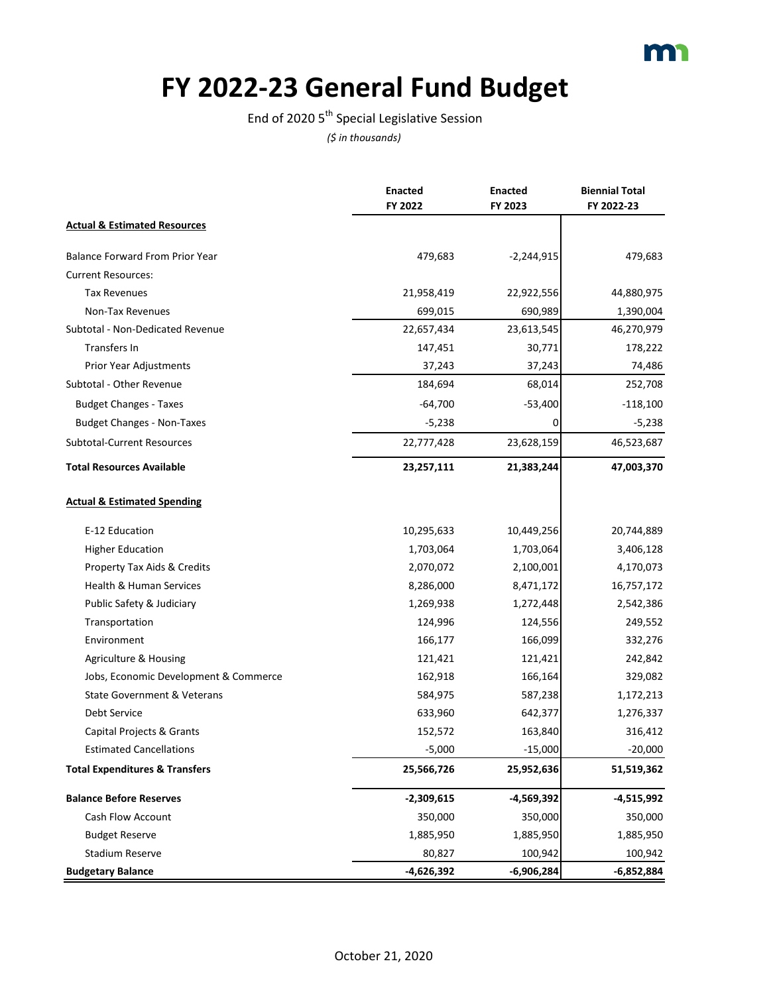

# **FY 2022-23 General Fund Budget**

End of 2020  $5^{\text{th}}$  Special Legislative Session

|                                           | <b>Enacted</b> | <b>Enacted</b> | <b>Biennial Total</b> |
|-------------------------------------------|----------------|----------------|-----------------------|
|                                           | FY 2022        | FY 2023        | FY 2022-23            |
| <b>Actual &amp; Estimated Resources</b>   |                |                |                       |
| <b>Balance Forward From Prior Year</b>    | 479,683        | $-2,244,915$   | 479,683               |
| <b>Current Resources:</b>                 |                |                |                       |
| <b>Tax Revenues</b>                       | 21,958,419     | 22,922,556     | 44,880,975            |
| Non-Tax Revenues                          | 699,015        | 690,989        | 1,390,004             |
| Subtotal - Non-Dedicated Revenue          | 22,657,434     | 23,613,545     | 46,270,979            |
| Transfers In                              | 147,451        | 30,771         | 178,222               |
| Prior Year Adjustments                    | 37,243         | 37,243         | 74,486                |
| Subtotal - Other Revenue                  | 184,694        | 68,014         | 252,708               |
| <b>Budget Changes - Taxes</b>             | $-64,700$      | $-53,400$      | $-118,100$            |
| <b>Budget Changes - Non-Taxes</b>         | $-5,238$       | 0              | $-5,238$              |
| Subtotal-Current Resources                | 22,777,428     | 23,628,159     | 46,523,687            |
| <b>Total Resources Available</b>          | 23,257,111     | 21,383,244     | 47,003,370            |
| <b>Actual &amp; Estimated Spending</b>    |                |                |                       |
| E-12 Education                            | 10,295,633     | 10,449,256     | 20,744,889            |
| <b>Higher Education</b>                   | 1,703,064      | 1,703,064      | 3,406,128             |
| Property Tax Aids & Credits               | 2,070,072      | 2,100,001      | 4,170,073             |
| Health & Human Services                   | 8,286,000      | 8,471,172      | 16,757,172            |
| Public Safety & Judiciary                 | 1,269,938      | 1,272,448      | 2,542,386             |
| Transportation                            | 124,996        | 124,556        | 249,552               |
| Environment                               | 166,177        | 166,099        | 332,276               |
| Agriculture & Housing                     | 121,421        | 121,421        | 242,842               |
| Jobs, Economic Development & Commerce     | 162,918        | 166,164        | 329,082               |
| <b>State Government &amp; Veterans</b>    | 584,975        | 587,238        | 1,172,213             |
| Debt Service                              | 633,960        | 642,377        | 1,276,337             |
| Capital Projects & Grants                 | 152,572        | 163,840        | 316,412               |
| <b>Estimated Cancellations</b>            | $-5,000$       | $-15,000$      | $-20,000$             |
| <b>Total Expenditures &amp; Transfers</b> | 25,566,726     | 25,952,636     | 51,519,362            |
| <b>Balance Before Reserves</b>            | $-2,309,615$   | $-4,569,392$   | -4,515,992            |
| Cash Flow Account                         | 350,000        | 350,000        | 350,000               |
| <b>Budget Reserve</b>                     | 1,885,950      | 1,885,950      | 1,885,950             |
| <b>Stadium Reserve</b>                    | 80,827         | 100,942        | 100,942               |
| <b>Budgetary Balance</b>                  | $-4,626,392$   | $-6,906,284$   | $-6,852,884$          |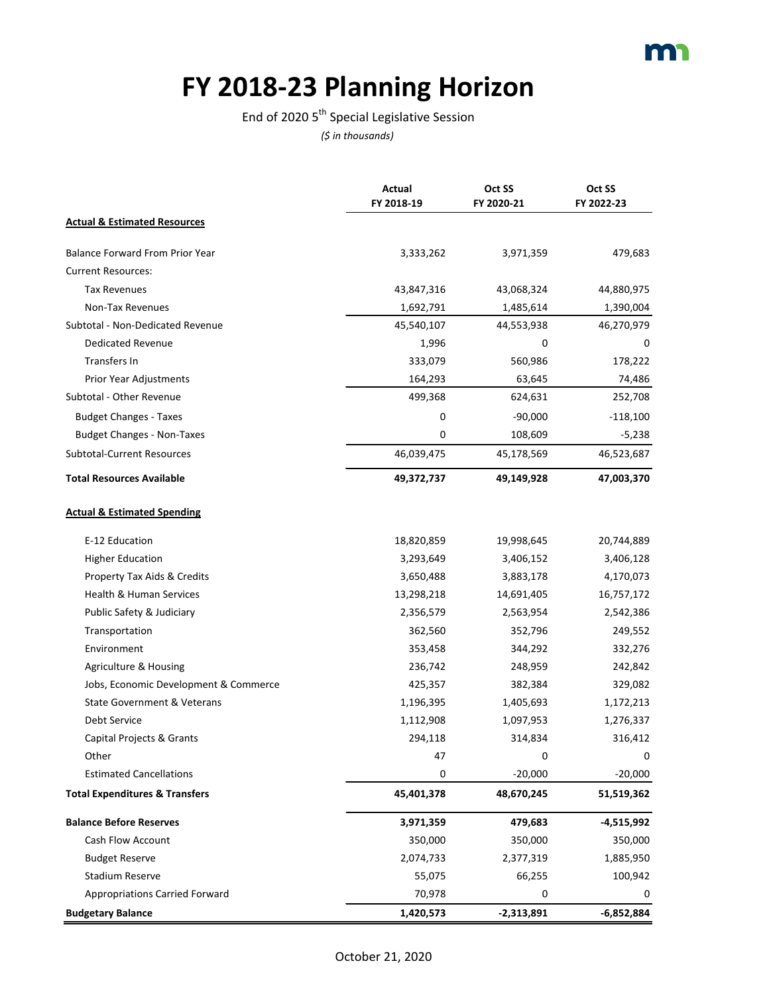# **FY 2018-23 Planning Horizon**

#### End of 2020  $5^{th}$  Special Legislative Session

|                                           | Actual<br>FY 2018-19 | Oct SS<br>FY 2020-21 | Oct SS<br>FY 2022-23 |
|-------------------------------------------|----------------------|----------------------|----------------------|
| <b>Actual &amp; Estimated Resources</b>   |                      |                      |                      |
|                                           |                      |                      |                      |
| Balance Forward From Prior Year           | 3,333,262            | 3,971,359            | 479,683              |
| <b>Current Resources:</b>                 |                      |                      |                      |
| <b>Tax Revenues</b>                       | 43,847,316           | 43,068,324           | 44,880,975           |
| Non-Tax Revenues                          | 1,692,791            | 1,485,614            | 1,390,004            |
| Subtotal - Non-Dedicated Revenue          | 45,540,107           | 44,553,938           | 46,270,979           |
| <b>Dedicated Revenue</b>                  | 1,996                | 0                    | 0                    |
| Transfers In                              | 333,079              | 560,986              | 178,222              |
| Prior Year Adjustments                    | 164,293              | 63,645               | 74,486               |
| Subtotal - Other Revenue                  | 499,368              | 624,631              | 252,708              |
| <b>Budget Changes - Taxes</b>             | 0                    | $-90,000$            | $-118,100$           |
| <b>Budget Changes - Non-Taxes</b>         | 0                    | 108,609              | $-5,238$             |
| <b>Subtotal-Current Resources</b>         | 46,039,475           | 45,178,569           | 46,523,687           |
| <b>Total Resources Available</b>          | 49,372,737           | 49,149,928           | 47,003,370           |
| <b>Actual &amp; Estimated Spending</b>    |                      |                      |                      |
| E-12 Education                            | 18,820,859           | 19,998,645           | 20,744,889           |
| <b>Higher Education</b>                   | 3,293,649            | 3,406,152            | 3,406,128            |
| Property Tax Aids & Credits               | 3,650,488            | 3,883,178            | 4,170,073            |
| Health & Human Services                   | 13,298,218           | 14,691,405           | 16,757,172           |
| Public Safety & Judiciary                 | 2,356,579            | 2,563,954            | 2,542,386            |
| Transportation                            | 362,560              | 352,796              | 249,552              |
| Environment                               | 353,458              | 344,292              | 332,276              |
| Agriculture & Housing                     | 236,742              | 248,959              | 242,842              |
| Jobs, Economic Development & Commerce     | 425,357              | 382,384              | 329,082              |
| State Government & Veterans               | 1,196,395            | 1,405,693            | 1,172,213            |
| Debt Service                              | 1,112,908            | 1,097,953            | 1,276,337            |
| Capital Projects & Grants                 | 294,118              | 314,834              | 316,412              |
| Other                                     | 47                   | 0                    | 0                    |
| <b>Estimated Cancellations</b>            | 0                    | $-20,000$            | $-20,000$            |
| <b>Total Expenditures &amp; Transfers</b> | 45,401,378           | 48,670,245           | 51,519,362           |
| <b>Balance Before Reserves</b>            | 3,971,359            | 479,683              | -4,515,992           |
| Cash Flow Account                         | 350,000              | 350,000              | 350,000              |
| <b>Budget Reserve</b>                     | 2,074,733            | 2,377,319            | 1,885,950            |
| Stadium Reserve                           | 55,075               | 66,255               | 100,942              |
| <b>Appropriations Carried Forward</b>     | 70,978               | 0                    | 0                    |
| <b>Budgetary Balance</b>                  | 1,420,573            | $-2,313,891$         | $-6,852,884$         |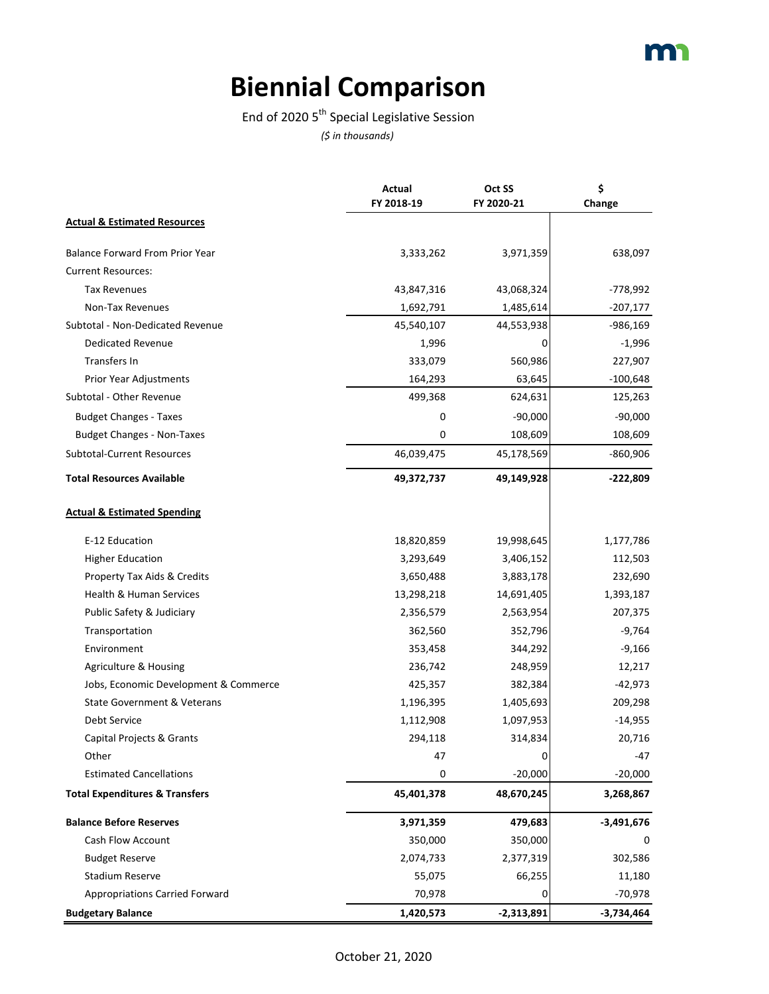# **Biennial Comparison**

#### End of 2020  $5^{th}$  Special Legislative Session

|                                           | Actual<br>FY 2018-19 | Oct SS<br>FY 2020-21 | \$<br>Change |
|-------------------------------------------|----------------------|----------------------|--------------|
| <b>Actual &amp; Estimated Resources</b>   |                      |                      |              |
| <b>Balance Forward From Prior Year</b>    | 3,333,262            | 3,971,359            | 638,097      |
| <b>Current Resources:</b>                 |                      |                      |              |
| <b>Tax Revenues</b>                       | 43,847,316           | 43,068,324           | -778,992     |
| Non-Tax Revenues                          | 1,692,791            | 1,485,614            | $-207,177$   |
| Subtotal - Non-Dedicated Revenue          | 45,540,107           | 44,553,938           | -986,169     |
| <b>Dedicated Revenue</b>                  | 1,996                | 0                    | $-1,996$     |
| Transfers In                              | 333,079              | 560,986              | 227,907      |
| Prior Year Adjustments                    | 164,293              | 63,645               | $-100,648$   |
| Subtotal - Other Revenue                  | 499,368              | 624,631              | 125,263      |
| <b>Budget Changes - Taxes</b>             | 0                    | $-90,000$            | $-90,000$    |
| <b>Budget Changes - Non-Taxes</b>         | 0                    | 108,609              | 108,609      |
| <b>Subtotal-Current Resources</b>         | 46,039,475           | 45,178,569           | $-860,906$   |
| <b>Total Resources Available</b>          | 49,372,737           | 49,149,928           | $-222,809$   |
| <b>Actual &amp; Estimated Spending</b>    |                      |                      |              |
| E-12 Education                            | 18,820,859           | 19,998,645           | 1,177,786    |
| <b>Higher Education</b>                   | 3,293,649            | 3,406,152            | 112,503      |
| Property Tax Aids & Credits               | 3,650,488            | 3,883,178            | 232,690      |
| <b>Health &amp; Human Services</b>        | 13,298,218           | 14,691,405           | 1,393,187    |
| Public Safety & Judiciary                 | 2,356,579            | 2,563,954            | 207,375      |
| Transportation                            | 362,560              | 352,796              | $-9,764$     |
| Environment                               | 353,458              | 344,292              | $-9,166$     |
| Agriculture & Housing                     | 236,742              | 248,959              | 12,217       |
| Jobs, Economic Development & Commerce     | 425,357              | 382,384              | $-42,973$    |
| <b>State Government &amp; Veterans</b>    | 1,196,395            | 1,405,693            | 209,298      |
| Debt Service                              | 1,112,908            | 1,097,953            | $-14,955$    |
| Capital Projects & Grants                 | 294,118              | 314,834              | 20,716       |
| Other                                     | 47                   | 0                    | -47          |
| <b>Estimated Cancellations</b>            | 0                    | $-20,000$            | $-20,000$    |
| <b>Total Expenditures &amp; Transfers</b> | 45,401,378           | 48,670,245           | 3,268,867    |
| <b>Balance Before Reserves</b>            | 3,971,359            | 479,683              | $-3,491,676$ |
| Cash Flow Account                         | 350,000              | 350,000              |              |
| <b>Budget Reserve</b>                     | 2,074,733            | 2,377,319            | 302,586      |
| <b>Stadium Reserve</b>                    | 55,075               | 66,255               | 11,180       |
| <b>Appropriations Carried Forward</b>     | 70,978               | 0                    | $-70,978$    |
| <b>Budgetary Balance</b>                  | 1,420,573            | $-2,313,891$         | -3,734,464   |